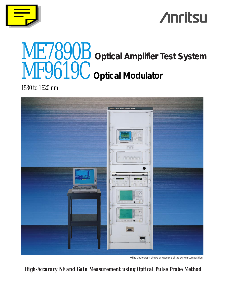

# **Anritsu**

# ME7890B **Optical Amplifier Test System** MF9619C **Optical Modulator**

1530 to 1620 nm



✽The photograph shows an example of the system composition.

*High-Accuracy NF and Gain Measurement using Optical Pulse Probe Method*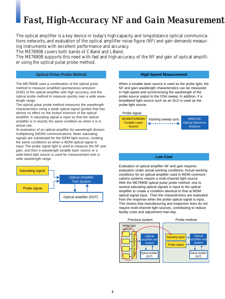# *Fast, High-Accuracy NF and Gain Measurement*

The optical amplifier is a key device in today's high-capacity and long-distance optical communications networks, and evaluation of the optical amplifier noise figure (NF) and gain demands measuring instruments with excellent performance and accuracy.

The ME7890B covers both bands of C-Band and L-Band.

The ME7890B supports this need with fast and high-accuracy of the NF and gain of optical amplifier using the optical pulse probe method.

### **Optical Pulse Probe Method**

The ME7890B uses a combination of the optical pulse method to measure amplified spontaneous emission (ASE) of the optical amplifier with high accuracy, and the optical probe method to measure quickly over a wide wavelength range.

The optical pulse probe method measures the wavelength characteristics using a weak optical signal (probe) that has almost no effect on the locked inversion of the optical amplifier. A saturating signal is input so that the optical amplifier is in exactly the same condition as when it is in actual use.

At evaluation of an optical amplifier for wavelength division multiplexing (WDM) communications, fewer saturating signals are substituted for the WDM light source, creating the same conditions as when a WDM optical signal is input. The probe signal light is used to measure the NF and gain, and then a wavelength tunable laser source or a wide-band light source is used for measurement over a wide wavelength range.



#### **High-Speed Measurement**

When a tunable laser source is used as the probe light, the NF and gain wavelength characteristics can be measured in high-speed and synchronizing the wavelength of the probe source output to the OSA sweep. In addition, if a broadband light source such as an SLD is used as the probe light source.



### **Low Cost**

Evaluation of optical amplifier NF and gain requires evaluation under actual working conditions. Actual working conditions for an optical amplifier used in WDM communications systems require a multi-channel light source. With the ME7890B optical pulse probe method, one to several saturating optical signals is input to the optical amplifier to create a condition identical to that at WDM optical signal input. Then the characteristics are evaluated from the response when the probe optical signal is input. This means that manufacturing and inspection lines do not require multi-channel light sources, contributing to reduce facility costs and adjustment man-day.

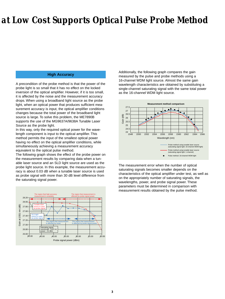# *at Low Cost Supports Optical Pulse Probe Method*

## **High Accuracy**

A precondition of the probe method is that the power of the probe light is so small that it has no effect on the locked inversion of the optical amplifier. However, if it is too small, it is affected by the noise and the measurement accuracy drops. When using a broadband light source as the probe light, when an optical power that produces sufficient measurement accuracy is input, the optical amplifier conditions changes because the total power of the broadband light source is large. To solve this problem, the ME7890B supports the use of the MG9637A/9638A Tunable Laser Source as the probe light.

In this way, only the required optical power for the wavelength component is input to the optical amplifier. This method permits the input of the smallest optical power having no effect on the optical amplifier conditions, while simultaneously achieving a measurement accuracy equivalent to the optical pulse method.

The following graph shows the effect of the probe power on the measurement results by comparing data when a tunable laser source and an SLD light source are used as the probe light source. In this example, the measurement accuracy is about 0.03 dB when a tunable laser source is used as probe signal with more than 30 dB level difference from the saturating signal power.



Additionally, the following graph compares the gain measured by the pulse and probe methods using a 16-channel WDM light source. Almost the same gain wavelength characteristics are obtained by substituting a single-channel saturating signal with the same total power as the 16-channel WDM light source.



The measurement error when the number of optical saturating signals becomes smaller depends on the characteristics of the optical amplifier under test, as well as on the appropriately number of saturating signals, the wavelengths, power, and probe signal power. These parameters must be determined in comparison with measurement results obtained by the pulse method.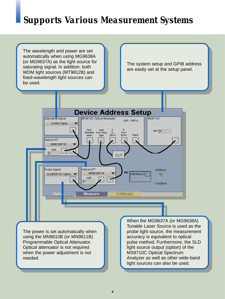# *Supports Various Measurement Systems*

The wavelength and power are set automatically when using MG9638A (or MG9637A) as the light source for saturating signal. In addition, both WDM light sources (MT9812B) and fixed-wavelength light sources can be used.

The system setup and GPIB address are easily set at the setup panel.



The power is set automatically when using the MN9610B (or MN9611B) Programmable Optical Attenuator. Optical attenuator is not required when the power adjustment is not needed.

When the MG9637A (or MG9638A) Tunable Laser Source is used as the probe light source, the measurement accuracy is equivalent to optical pulse method. Furthermore, the SLD light source output (option) of the MS9710C Optical Spectrum Analyzer as well as other wide-band light sources can also be used.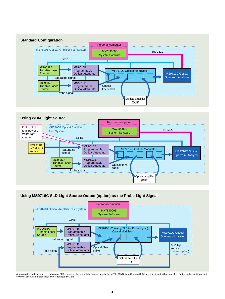



# **Using MS9710C SLD Light Source Output (option) as the Probe Light Signal**



When a wide-band light source such as an SLD is used as the probe light source, specify the MF9619C (Option 01: using SLD for probe signal) with a small loss for the probe light input port. However, EDFAs saturation input level is reduced by 3 dB.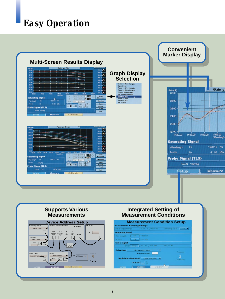# *Easy Operation*

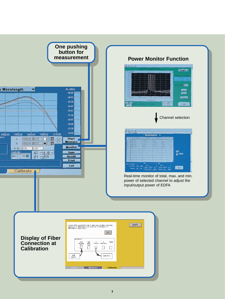

# **Power Monitor Function**



Channel selection



Real-time monitor of total, max. and min. power of selected channel to adjust the input/output power of EDFA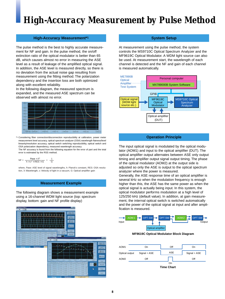# *High-Accuracy Measurement by Pulse Method*

### **High-Accuracy Measurement\*1**

The pulse method is the best to highly accurate measurement for NF and gain. In the pulse method, the on/off extinction ratio of the optical modulator is better than 65 dB, which causes almost no error in measuring the ASE level as a result of leakage of the amplified optical signal. In addition, the ASE level is measured directly, so there is no deviation from the actual noise gap resulting from measurement using the fitting method. The polarization dependency and the insertion loss are both optimized along with excellent reliability.

In the following diagram, the measured spectrum is expanded, and the measured ASE spectrum can be observed with almost no error.



\*1 Considering fiber connection/disconnection reproducibility at calibration, power meter measurement level accuracy, optical spectrum analyzer (OSA) wavelength flatness/level linearity/resolution accuracy, optical switch switching reproducibility, optical switch and OSA polarization dependency, measured wavelength accuracy.

The NF accuracy is found from the following equation for the error of part and the total error is estimated by the RSS method.

$$
NF = \frac{Pase \times \lambda^3}{h \times c^2 \times RES \times G} + \frac{1}{G}
$$

where, Pase: ASE level of signal wavelengths, h: Planck's constant, RES: OSA resolution, λ: Wavelength, c: Velocity of light in a vacuum, G: Optical amplifier gain

### **Measurement Example**

The following diagram shows a measurement example using a 16-channel WDM light source (top: spectrum display, bottom: gain and NF profile display)



### **System Setup**

At measurement using the pulse method, the system controls the MS9710C Optical Spectrum Analyzer and the MF9619C Optical Modulator. A WDM light source can also be used. At measurement start, the wavelength of each channel is detected and the NF and gain of each channel is measured automatically.



## **Operation Principle**

The input optical signal is modulated by the optical modulator (AOM1) and input to the optical amplifier (DUT). The optical amplifier output alternates between ASE only output timing and amplifier output signal output timing. The phase of the optical modulator (AOM2) at the output side is adjusted so only the ASE is output to the optical spectrum analyzer where the power is measured.

Generally, the ASE response time of an optical amplifier is several kHz so when the modulation frequency is enough higher than this, the ASE has the same power as when the optical signal is actually being input. In this system, the optical modulator performs modulation at a high level of 125/250 kHz (default value). In addition, at gain measurement, the internal optical switch is switched automatically and the power of the optical signal at input and after amplification is measured.



**MF9619C Optical Modulator Block Diagram**

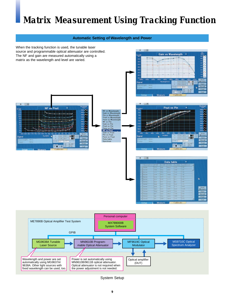# *Matrix Measurement Using Tracking Function*



System Setup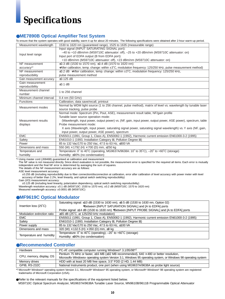# *Specifications*

# ●**ME7890B Optical Amplifier Test System**

To ensure that the system operates with good stability, warm it up for about 20 minutes. The following specifications were obtained after 2-hour warm-up period.

| Measurement wavelength    | 1530 to 1620 nm (guaranteed range), 1525 to 1635 (measurable range)                                           |  |  |  |  |  |
|---------------------------|---------------------------------------------------------------------------------------------------------------|--|--|--|--|--|
|                           | Input signal (INPUT SATURATING SIGNAL port):                                                                  |  |  |  |  |  |
|                           | $-40$ to $+10$ dBm/nm (MS9710C attenuator: off), $-25$ to $+20$ dBm/nm (MS9710C attenuator: on)               |  |  |  |  |  |
| Input level range         | Input port of EDFA output (B from EDFA port):                                                                 |  |  |  |  |  |
|                           | +10 dBm/nm (MS9710C attenuator: off), +23 dBm/nm (MS9710C attenuator: on)                                     |  |  |  |  |  |
| NF measurement            | ≤0.3 dB (1530 to 1570 nm), ≤0.4 dB (1570 to 1620 nm)                                                          |  |  |  |  |  |
| accuracy*1                | *After calibration, temp. change: within ±3°C, modulation frequency: 125/250 kHz, pulse measurement method)   |  |  |  |  |  |
| NF measurement            | $\leq$ 0.2 dB *After calibration, temp. change: within $\pm 3^{\circ}$ C, modulation frequency: 125/250 kHz,  |  |  |  |  |  |
| reproducibility           | pulse measurement method                                                                                      |  |  |  |  |  |
| Gain measurement accuracy | $\leq$ 0.125 dB                                                                                               |  |  |  |  |  |
| Gain measurement          | $≤0.1$ dB                                                                                                     |  |  |  |  |  |
| reproducibility           |                                                                                                               |  |  |  |  |  |
| Measurement channel       | 1 to 256 channel                                                                                              |  |  |  |  |  |
| number                    |                                                                                                               |  |  |  |  |  |
| Minimum channel interval  | 0.4 nm (50 GHz)                                                                                               |  |  |  |  |  |
| <b>Functions</b>          | Calibration, data save/recall, printout                                                                       |  |  |  |  |  |
| Measurement modes         | Normal by WDM light source (1 to 256 channel, pulse method), matrix of level vs. wavelength by tunable laser  |  |  |  |  |  |
|                           | source tracking, pulse probe                                                                                  |  |  |  |  |  |
|                           | Normal mode: Spectrum (Pin, Pout, ASE), measurement result table, NF/gain profile                             |  |  |  |  |  |
|                           | Tunable laser source operation mode:                                                                          |  |  |  |  |  |
| Measurement results       | (Wavelength, input power, output power) vs. (NF, gain, input power, output power, ASE power), spectrum, table |  |  |  |  |  |
| displays                  | Probe measurement mode:                                                                                       |  |  |  |  |  |
|                           | X axis (Wavelength, input power, saturating signal power, saturating signal wavelength) vs. Y axis (NF, gain, |  |  |  |  |  |
|                           | input power, output power, ASE power), spectrum                                                               |  |  |  |  |  |
| <b>EMC</b>                | EN55011 (1991, Group 1, Class A), EN50082-1 (1992), Harmonic current emission EN61000-3-2 (1995)              |  |  |  |  |  |
| Safety                    | EN61010-1 (1993, Installation Category II, Pollution Degree II)                                               |  |  |  |  |  |
| Power                     | 85 to 132 Vac/170 to 250 Vac, 47.5 to 63 Hz, ≤800 VA                                                          |  |  |  |  |  |
| Dimensions and mass       | 550 (W) × 1792 (H) × 700 (D) mm, ≤250 kg                                                                      |  |  |  |  |  |
| Temperature and           | Temperature: $0^{\circ}$ to 40°C (operating, MG9637A/9638A: 10° to 35°C), -20° to +60°C (storage)             |  |  |  |  |  |
| humidity                  | Humidity: ≤90% (no condensation)                                                                              |  |  |  |  |  |

\*1 Using master cord (J0846B) guaranteed at calibration and measurement

The NF value is not measured directly. Since direct evaluation is not possible, the measurement error is specified for the required all items. Each error is mutually independent and the final NF error is determined by averaging the sum of squares.

The details of the NF measurement accuracy are as follows:

ASE level measurement accuracy:

±0.255 dB (including reproducibility due to fiber connection/disconnection at calibration, error after calibration of level accuracy with power meter with level accuracy of better than 2.2%, level linearity, and optical switch switching reproducibility)

Gain (I/O) measurement accuracy:

±0.125 dB (including level linearity, polarization dependency, optical switch switching reproducibility)

Wavelength resolution accuracy: ±0.1 dB (MS9710C: 1530 to 1570 nm), ±0.2 dB (MS9710C: 1570 to 1620 nm) Measured wavelength accuracy: ±0.0001 dB (MS9710C)

# ●**MF9619C Optical Modulator**

|                             | Saturating signal: ≤10 dB (1530 to 1630 nm), ≤9.5 dB (1530 to 1630 nm, Option 02)                |  |  |  |  |
|-----------------------------|--------------------------------------------------------------------------------------------------|--|--|--|--|
| Insertion loss (25°C)       | *Between [INPUT SATURATION SIGNAL] and [A to EDFA] ports                                         |  |  |  |  |
|                             | Probe signal: ≤14 dB (1530 to 1630 nm) *Between [INPUT PROBE SIGNAL] and [A to EDFA] ports       |  |  |  |  |
| Modulation extinction ratio | $\geq$ 65 dB (25°C, at 125/250 kHz modulation)                                                   |  |  |  |  |
| <b>EMC</b>                  | EN55011 (1991, Group 1, Class A), EN50082-1 (1992), Harmonic current emission EN61000-3-2 (1995) |  |  |  |  |
| Safety                      | EN61010-1 (1993, Installation Category II, Pollution Degree II)                                  |  |  |  |  |
| Power supply                | 85 to 132 Vac/170 to 250 Vac, 47.5 to 63 Hz, ≤100 VA                                             |  |  |  |  |
| Dimensions and mass         | 320 (W) $\times$ 132.5 (H) $\times$ 350 (D) mm, $\leq$ 8 kg                                      |  |  |  |  |
|                             | Temperature: 0° to 40°C (operating); -20° to +60°C (storage)                                     |  |  |  |  |
| Temperature and humidity    | Humidity: ≤90% (no condensation)                                                                 |  |  |  |  |

# ●**Recommended Controller**

| Hardware                 | PC-AT compatible computer running Windows <sup>®</sup> 3.1/95/98 <sup>*2</sup>                                                                                                                                       |
|--------------------------|----------------------------------------------------------------------------------------------------------------------------------------------------------------------------------------------------------------------|
| CPU, memory, display, OS | Pentium 75 MHz or faster, $\geq$ 16 MB ( $\geq$ 32 MB recommended), 640 x 480 or better resolution,<br>Microsoft® Windows® operating system Version 3.1, Windows 95 operating system, or Windows 98 operating system |
| Memory drives            | HDD with at least 20 MB free space, 3.5" FDD (2 HD, 1.44 MB)                                                                                                                                                         |
| GPIB, RS-232C            | National Instruments product, one port (when using MG9637A/9638A as probe light source)                                                                                                                              |

\*2 Microsoft® Windows® operating system Version 3.1, Microsoft® Windows® 95 operating system, or Microsoft® Windows® 98 operating system are registered trademarks of Microsoft Corporation (USA).

●Refer to the relevant manuals for the specifications of the equipment listed below. MS9710C Optical Spectrum Analyzer, MG9637A/9638A Tunable Laser Source, MN9610B/9611B Programmable Optical Attenuator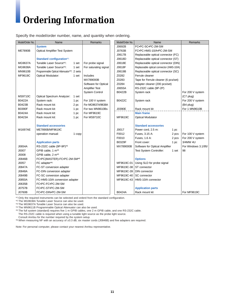# *Ordering Information*

Specify the model/order number, name, and quantity when ordering.

| Model/Order No. | Name                                      |        | Remarks               | Model/Order No. | Name                                     |       | Remarks             |
|-----------------|-------------------------------------------|--------|-----------------------|-----------------|------------------------------------------|-------|---------------------|
|                 | <b>System</b>                             |        |                       | J0692B          | FC.PC-SC.PC-2M-SM                        |       |                     |
| <b>ME7890B</b>  | <b>Optical Amplifier Test System</b>      |        |                       | J0763B          | FC.PC-HMS-10/A.PC-2M-SM                  |       |                     |
|                 |                                           |        |                       | J0617B          | Replaceable optical connector (FC)       |       |                     |
|                 | Standard configuration*1                  |        |                       | J0618D          | Replaceable optical connector (ST)       |       |                     |
| <b>MG9637A</b>  | Tunable Laser Source*2:                   | 1 set  | For probe signal      | J0618E          | Replaceable optical connector (DIN)      |       |                     |
| MG9638A         | Tunable Laser Source*3:<br>1 set          |        | For saturating signal | J0618F          | Replaceable optical connector (HMS-10/A) |       |                     |
| <b>MN9610B</b>  | Programmable Optical Attenuator*4: 2 sets |        |                       | J0619B          | Replaceable optical connector (SC)       |       |                     |
| MF9619C         | <b>Optical Modulator:</b><br>1 set        |        | Includes              | Z0282           | Ferrule cleaner                          |       |                     |
|                 |                                           |        | MX789000B             | Z0283           | Tape for Ferrule cleaner (6 pcs/set)     |       |                     |
|                 |                                           |        | Software for Optical  | Z0284           | Adapter cleaner (200 pcs/set)            |       |                     |
|                 |                                           |        | <b>Amplifier Test</b> | J0655A          | RS-232C cable (9P-2P)                    |       |                     |
|                 |                                           |        | <b>System Control</b> | B0422B          | System rack                              |       | For 200 V system    |
| <b>MS9710C</b>  | <b>Optical Spectrum Analyzer:</b>         | 1 set  |                       |                 |                                          |       | $(C7$ plug)         |
| <b>B0422A</b>   | System rack:                              | 1 pc   | For 100 V system      | B0422C          | System rack                              |       | For 200 V system    |
| B0423B          | Rack mount kit:                           | 2 pc   | For MG9637A/9638A     |                 |                                          |       | (B4 plug)           |
| <b>B0390F</b>   | Rack mount kit:                           | 1 pc   | For two MN9610Bs      | J0390E          | Rack mount kit                           |       | For 1 MN9610B       |
| B0424A          | Rack mount kit:                           | 1 pc   | For MF9619C           |                 | <b>Main frame</b>                        |       |                     |
| B0423A          | Rack mount kit:                           | 1 pc   | For MS9710C           | MF9619C         | <b>Optical Modulator</b>                 |       |                     |
|                 |                                           |        |                       |                 |                                          |       |                     |
|                 | <b>Standard accessories</b>               |        |                       |                 | <b>Standard accessories</b>              |       |                     |
| <b>W1697AE</b>  | ME7890B/MF9619C                           |        |                       | J0017           | Power cord, 2.5 m:                       | 1 pc  |                     |
|                 | operation manual:                         | 1 copy |                       | F0012           | Fuses, 3.15 A:                           | 2 pcs | For 100 V system    |
|                 |                                           |        |                       | F0010           | Fuses, 1.6 A:                            | 2 pcs | For 200 V system    |
|                 | <b>Application parts</b>                  |        |                       | B0329F          | Front cover:                             | 1 pc  | 3/4MW 4U            |
| J0654A          | RS-232C cable (9P-9P)*5                   |        |                       | MX789000B       | Software for Optical Amplifier           |       | For Windows 3.1/95/ |
| J0007           | GPIB cable, 1 m <sup>*5</sup>             |        |                       |                 | Test System Controller:                  | 1 set | 98                  |
| J0008           | GPIB cable, 2 m <sup>*5</sup>             |        |                       |                 |                                          |       |                     |
| J0846B          | FC.PC(MASTER)-FC.PC-2M-SM*6               |        |                       |                 | <b>Options</b>                           |       |                     |
| J0057           | FC adapter*6                              |        |                       | MF9619C-01      | Using SLD for probe signal               |       |                     |
| J0847A          | FC-ST conversion adapter                  |        |                       | MF9619C-38      | ST connector                             |       |                     |
| J0848A          | FC-DIN conversion adapter                 |        |                       | MF9619C-39      | <b>DIN</b> connector                     |       |                     |
| J0849B          | FC-SC conversion adapter                  |        |                       | MF9619C-40      | SC connector                             |       |                     |
| J0850A          | FC-HMS-10/A conversion adapter            |        |                       | MF9619C-43      | HMS-10/A connector                       |       |                     |
| J0635B          | FC.PC-FC.PC-2M-SM                         |        |                       |                 |                                          |       |                     |
| J0757B          | FC.PC-ST.PC-2M-SM                         |        |                       |                 | <b>Application parts</b>                 |       |                     |
| J0760B          | FC.PC-DIN.PC-2M-SM                        |        |                       | <b>B0424A</b>   | Rack mount kit                           |       | For MF9619C         |

\*1 Only the required instruments can be selected and orderd from the standard configuration.

\*2 The MG9638A Tunable Laser Source can also be used.

\*3 The MG9637A Tunable Laser Source can also be used.

\*4 The MN9611B Programmable Optical Attenuator can also be used.

\*5 The full system (standard) requires five 1 m GPIB cables, one 2 m GPIB cable, and one RS-232C cable. The RS-232C cable is required when using a tunable light source as the probe light source.

Consult Anritsu for the number required by the system setup.

\*6 When measuring NF with an accuracy of ±0.3 dB, six master cords (J0846B) and five adapters are required.

Note: For personal computer, please contact your nearest Anritsu representative.